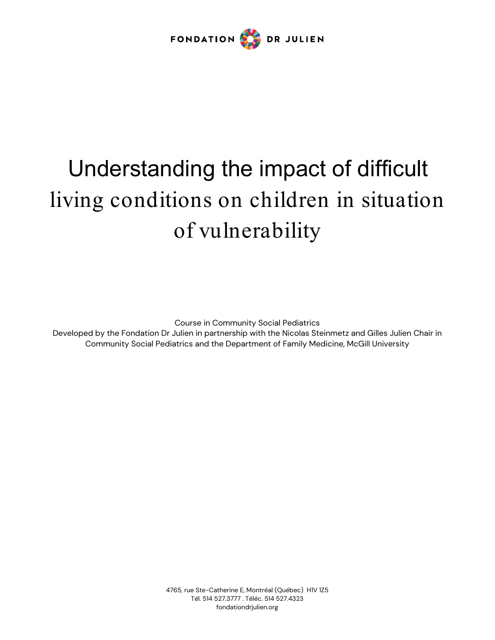

# Understanding the impact of difficult living conditions on children in situation of vulnerability

Course in Community Social Pediatrics

Developed by the Fondation Dr Julien in partnership with the Nicolas Steinmetz and Gilles Julien Chair in Community Social Pediatrics and the Department of Family Medicine, McGill University

> 4765, rue Ste-Catherine E, Montréal (Québec) H1V 1Z5 Tél. 514 527.3777 . Téléc. 514 527.4323 fondationdrjulien.org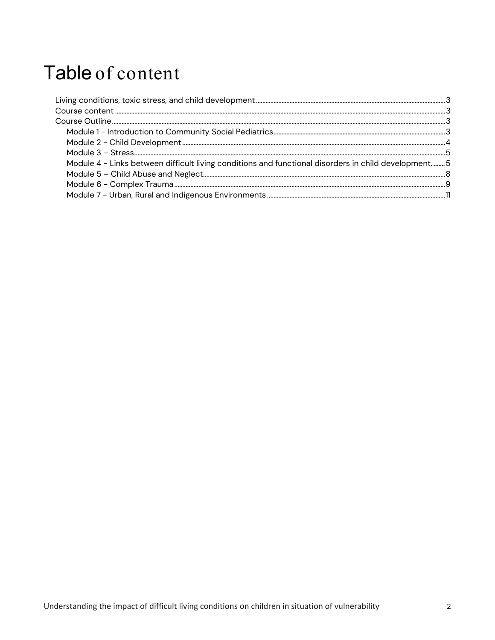# Table of content

| Module 4 - Links between difficult living conditions and functional disorders in child development5 |  |
|-----------------------------------------------------------------------------------------------------|--|
|                                                                                                     |  |
|                                                                                                     |  |
|                                                                                                     |  |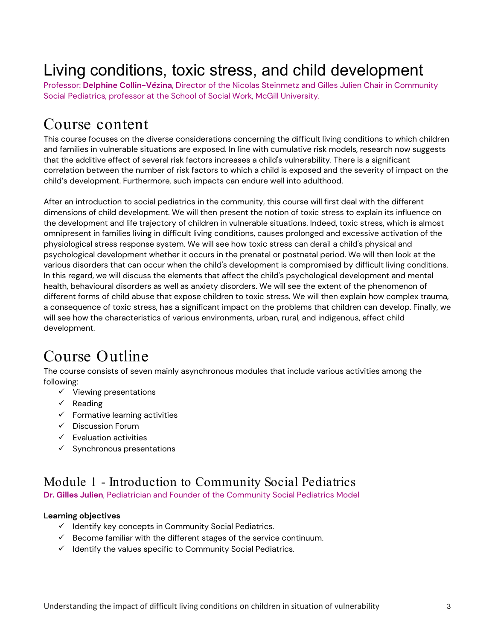## <span id="page-2-0"></span>Living conditions, toxic stress, and child development

Professor: **Delphine Collin-Vézina**, Director of the Nicolas Steinmetz and Gilles Julien Chair in Community Social Pediatrics, professor at the School of Social Work, McGill University.

### <span id="page-2-1"></span>Course content

This course focuses on the diverse considerations concerning the difficult living conditions to which children and families in vulnerable situations are exposed. In line with cumulative risk models, research now suggests that the additive effect of several risk factors increases a child's vulnerability. There is a significant correlation between the number of risk factors to which a child is exposed and the severity of impact on the child's development. Furthermore, such impacts can endure well into adulthood.

After an introduction to social pediatrics in the community, this course will first deal with the different dimensions of child development. We will then present the notion of toxic stress to explain its influence on the development and life trajectory of children in vulnerable situations. Indeed, toxic stress, which is almost omnipresent in families living in difficult living conditions, causes prolonged and excessive activation of the physiological stress response system. We will see how toxic stress can derail a child's physical and psychological development whether it occurs in the prenatal or postnatal period. We will then look at the various disorders that can occur when the child's development is compromised by difficult living conditions. In this regard, we will discuss the elements that affect the child's psychological development and mental health, behavioural disorders as well as anxiety disorders. We will see the extent of the phenomenon of different forms of child abuse that expose children to toxic stress. We will then explain how complex trauma, a consequence of toxic stress, has a significant impact on the problems that children can develop. Finally, we will see how the characteristics of various environments, urban, rural, and indigenous, affect child development.

### <span id="page-2-2"></span>Course Outline

The course consists of seven mainly asynchronous modules that include various activities among the following:

- $\checkmark$  Viewing presentations
- $\checkmark$  Reading
- $\checkmark$  Formative learning activities
- $\checkmark$  Discussion Forum
- $\checkmark$  Evaluation activities
- $\checkmark$  Synchronous presentations

### <span id="page-2-3"></span>Module 1 - Introduction to Community Social Pediatrics

**Dr. Gilles Julien**, Pediatrician and Founder of the Community Social Pediatrics Model

#### **Learning objectives**

- $\checkmark$  Identify key concepts in Community Social Pediatrics.
- $\checkmark$  Become familiar with the different stages of the service continuum.
- $\checkmark$  Identify the values specific to Community Social Pediatrics.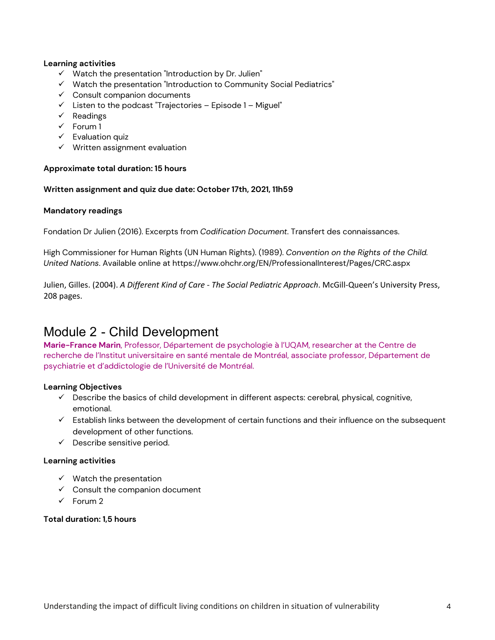#### **Learning activities**

- $\checkmark$  Watch the presentation "Introduction by Dr. Julien"
- $\checkmark$  Watch the presentation "Introduction to Community Social Pediatrics"
- $\checkmark$  Consult companion documents
- $\checkmark$  Listen to the podcast "Trajectories Episode 1 Miguel"
- $\checkmark$  Readings
- $\checkmark$  Forum 1
- $\checkmark$  Evaluation quiz
- $\checkmark$  Written assignment evaluation

#### **Approximate total duration: 15 hours**

#### **Written assignment and quiz due date: October 17th, 2021, 11h59**

#### **Mandatory readings**

Fondation Dr Julien (2016). Excerpts from *Codification Document*. Transfert des connaissances.

High Commissioner for Human Rights (UN Human Rights). (1989). *Convention on the Rights of the Child. United Nations*. Available online at https://www.ohchr.org/EN/ProfessionalInterest/Pages/CRC.aspx

Julien, Gilles. (2004). *A Different Kind of Care - The Social Pediatric Approach*. McGill-Queen's University Press, 208 pages.

### <span id="page-3-0"></span>Module 2 - Child Development

**Marie-France Marin**, Professor, Département de psychologie à l'UQAM, researcher at the Centre de recherche de l'Institut universitaire en santé mentale de Montréal, associate professor, Département de psychiatrie et d'addictologie de l'Université de Montréal.

#### **Learning Objectives**

- $\checkmark$  Describe the basics of child development in different aspects: cerebral, physical, cognitive, emotional.
- $\checkmark$  Establish links between the development of certain functions and their influence on the subsequent development of other functions.
- $\checkmark$  Describe sensitive period.

#### **Learning activities**

- $\checkmark$  Watch the presentation
- $\checkmark$  Consult the companion document
- $\checkmark$  Forum 2

#### **Total duration: 1,5 hours**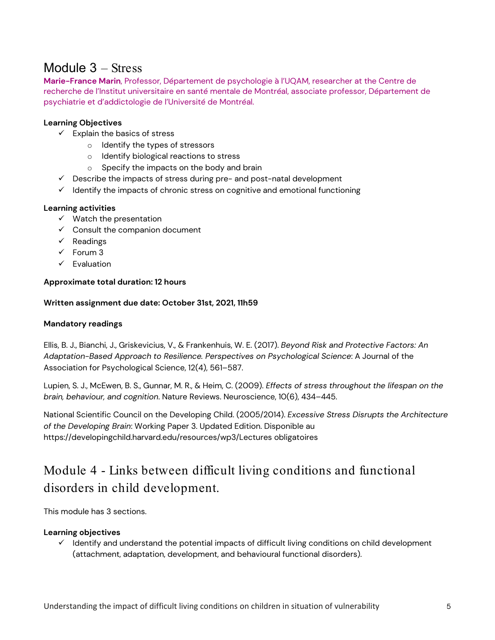### <span id="page-4-0"></span>Module 3 – Stress

**Marie-France Marin**, Professor, Département de psychologie à l'UQAM, researcher at the Centre de recherche de l'Institut universitaire en santé mentale de Montréal, associate professor, Département de psychiatrie et d'addictologie de l'Université de Montréal.

#### **Learning Objectives**

- $\checkmark$  Explain the basics of stress
	- o Identify the types of stressors
	- o Identify biological reactions to stress
	- o Specify the impacts on the body and brain
- $\checkmark$  Describe the impacts of stress during pre- and post-natal development
- $\checkmark$  Identify the impacts of chronic stress on cognitive and emotional functioning

#### **Learning activities**

- $\checkmark$  Watch the presentation
- $\checkmark$  Consult the companion document
- $\checkmark$  Readings
- $\checkmark$  Forum 3
- $\checkmark$  Evaluation

#### **Approximate total duration: 12 hours**

#### **Written assignment due date: October 31st, 2021, 11h59**

#### **Mandatory readings**

Ellis, B. J., Bianchi, J., Griskevicius, V., & Frankenhuis, W. E. (2017). *Beyond Risk and Protective Factors: An Adaptation-Based Approach to Resilience. Perspectives on Psychological Science*: A Journal of the Association for Psychological Science, 12(4), 561–587.

Lupien, S. J., McEwen, B. S., Gunnar, M. R., & Heim, C. (2009). *Effects of stress throughout the lifespan on the brain, behaviour, and cognition*. Nature Reviews. Neuroscience, 10(6), 434–445.

National Scientific Council on the Developing Child. (2005/2014). *Excessive Stress Disrupts the Architecture of the Developing Brain*: Working Paper 3. Updated Edition. Disponible au https://developingchild.harvard.edu/resources/wp3/Lectures obligatoires

### <span id="page-4-1"></span>Module 4 - Links between difficult living conditions and functional disorders in child development.

This module has 3 sections.

#### **Learning objectives**

 $\checkmark$  Identify and understand the potential impacts of difficult living conditions on child development (attachment, adaptation, development, and behavioural functional disorders).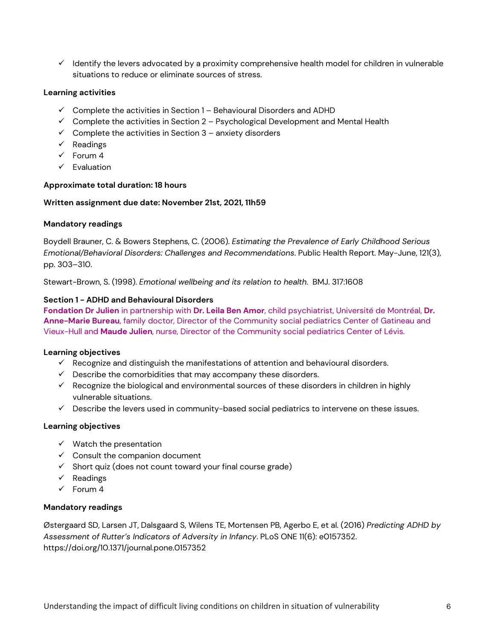$\checkmark$  Identify the levers advocated by a proximity comprehensive health model for children in vulnerable situations to reduce or eliminate sources of stress.

#### **Learning activities**

- $\checkmark$  Complete the activities in Section 1 Behavioural Disorders and ADHD
- $\checkmark$  Complete the activities in Section 2 Psychological Development and Mental Health
- $\checkmark$  Complete the activities in Section 3 anxiety disorders
- $\checkmark$  Readings
- $\checkmark$  Forum 4
- $\checkmark$  Evaluation

#### **Approximate total duration: 18 hours**

#### **Written assignment due date: November 21st, 2021, 11h59**

#### **Mandatory readings**

Boydell Brauner, C. & Bowers Stephens, C. (2006). *Estimating the Prevalence of Early Childhood Serious Emotional/Behavioral Disorders: Challenges and Recommendations*. Public Health Report. May-June, 121(3), pp. 303–310.

Stewart-Brown, S. (1998). *Emotional wellbeing and its relation to health*. BMJ. 317:1608

#### **Section 1 - ADHD and Behavioural Disorders**

**Fondation Dr Julien** in partnership with **Dr. Leila Ben Amor**, child psychiatrist, Université de Montréal, **Dr. Anne-Marie Bureau**, family doctor, Director of the Community social pediatrics Center of Gatineau and Vieux-Hull and **Maude Julien**, nurse, Director of the Community social pediatrics Center of Lévis.

#### **Learning objectives**

- $\checkmark$  Recognize and distinguish the manifestations of attention and behavioural disorders.
- $\checkmark$  Describe the comorbidities that may accompany these disorders.
- $\checkmark$  Recognize the biological and environmental sources of these disorders in children in highly vulnerable situations.
- $\checkmark$  Describe the levers used in community-based social pediatrics to intervene on these issues.

#### **Learning objectives**

- $\checkmark$  Watch the presentation
- $\checkmark$  Consult the companion document
- $\checkmark$  Short quiz (does not count toward your final course grade)
- $\checkmark$  Readings
- $\sqrt{F}$ Forum 4

#### **Mandatory readings**

Østergaard SD, Larsen JT, Dalsgaard S, Wilens TE, Mortensen PB, Agerbo E, et al. (2016) *Predicting ADHD by Assessment of Rutter's Indicators of Adversity in Infancy*. PLoS ONE 11(6): e0157352. https://doi.org/10.1371/journal.pone.0157352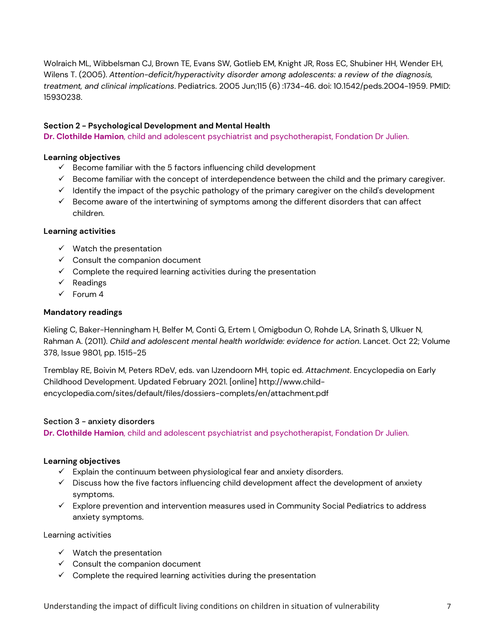Wolraich ML, Wibbelsman CJ, Brown TE, Evans SW, Gotlieb EM, Knight JR, Ross EC, Shubiner HH, Wender EH, Wilens T. (2005). *Attention-deficit/hyperactivity disorder among adolescents: a review of the diagnosis, treatment, and clinical implications*. Pediatrics. 2005 Jun;115 (6) :1734-46. doi: 10.1542/peds.2004-1959. PMID: 15930238.

#### **Section 2 - Psychological Development and Mental Health**

**Dr. Clothilde Hamion**, child and adolescent psychiatrist and psychotherapist, Fondation Dr Julien.

#### **Learning objectives**

- $\checkmark$  Become familiar with the 5 factors influencing child development
- $\checkmark$  Become familiar with the concept of interdependence between the child and the primary caregiver.
- $\checkmark$  Identify the impact of the psychic pathology of the primary caregiver on the child's development
- $\checkmark$  Become aware of the intertwining of symptoms among the different disorders that can affect children.

#### **Learning activities**

- $\checkmark$  Watch the presentation
- $\checkmark$  Consult the companion document
- $\checkmark$  Complete the required learning activities during the presentation
- $\checkmark$  Readings
- $\checkmark$  Forum 4

#### **Mandatory readings**

Kieling C, Baker-Henningham H, Belfer M, Conti G, Ertem I, Omigbodun O, Rohde LA, Srinath S, Ulkuer N, Rahman A. (2011). *Child and adolescent mental health worldwide: evidence for action*. Lancet. Oct 22; Volume 378, Issue 9801, pp. 1515-25

Tremblay RE, Boivin M, Peters RDeV, eds. van IJzendoorn MH, topic ed. *Attachment*. Encyclopedia on Early Childhood Development. Updated February 2021. [online] http://www.childencyclopedia.com/sites/default/files/dossiers-complets/en/attachment.pdf

#### Section 3 - anxiety disorders

**Dr. Clothilde Hamion**, child and adolescent psychiatrist and psychotherapist, Fondation Dr Julien.

#### **Learning objectives**

- $\checkmark$  Explain the continuum between physiological fear and anxiety disorders.
- $\checkmark$  Discuss how the five factors influencing child development affect the development of anxiety symptoms.
- $\checkmark$  Explore prevention and intervention measures used in Community Social Pediatrics to address anxiety symptoms.

Learning activities

- $\checkmark$  Watch the presentation
- $\checkmark$  Consult the companion document
- $\checkmark$  Complete the required learning activities during the presentation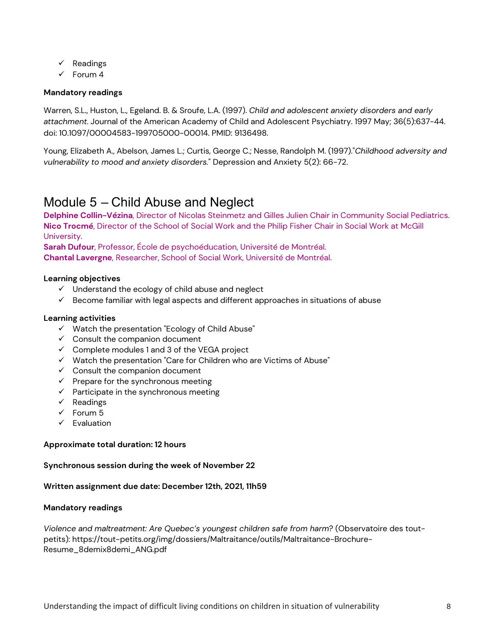- $\checkmark$  Readings
- $\checkmark$  Forum 4

#### **Mandatory readings**

Warren, S.L., Huston, L., Egeland. B. & Sroufe, L.A. (1997). *Child and adolescent anxiety disorders and early attachment*. Journal of the American Academy of Child and Adolescent Psychiatry. 1997 May; 36(5):637-44. doi: 10.1097/00004583-199705000-00014. PMID: 9136498.

Young, Elizabeth A., Abelson, James L.; Curtis, George C.; Nesse, Randolph M. (1997)."*Childhood adversity and vulnerability to mood and anxiety disorders.*" Depression and Anxiety 5(2): 66-72.

### <span id="page-7-0"></span>Module 5 – Child Abuse and Neglect

**Delphine Collin-Vézina**, Director of Nicolas Steinmetz and Gilles Julien Chair in Community Social Pediatrics. **Nico Trocmé**, Director of the School of Social Work and the Philip Fisher Chair in Social Work at McGill University.

**Sarah Dufour**, Professor, École de psychoéducation, Université de Montréal.

**Chantal Lavergne**, Researcher, School of Social Work, Université de Montréal.

#### **Learning objectives**

- $\checkmark$  Understand the ecology of child abuse and neglect
- $\checkmark$  Become familiar with legal aspects and different approaches in situations of abuse

#### **Learning activities**

- $\checkmark$  Watch the presentation "Ecology of Child Abuse"
- $\checkmark$  Consult the companion document
- $\checkmark$  Complete modules 1 and 3 of the VEGA project
- $\checkmark$  Watch the presentation "Care for Children who are Victims of Abuse"
- $\checkmark$  Consult the companion document
- $\checkmark$  Prepare for the synchronous meeting
- $\checkmark$  Participate in the synchronous meeting
- $\checkmark$  Readings
- $\checkmark$  Forum 5
- $\checkmark$  Evaluation

#### **Approximate total duration: 12 hours**

#### **Synchronous session during the week of November 22**

#### **Written assignment due date: December 12th, 2021, 11h59**

#### **Mandatory readings**

*Violence and maltreatment: Are Quebec's youngest children safe from harm*? (Observatoire des toutpetits): https://tout-petits.org/img/dossiers/Maltraitance/outils/Maltraitance-Brochure-Resume\_8demix8demi\_ANG.pdf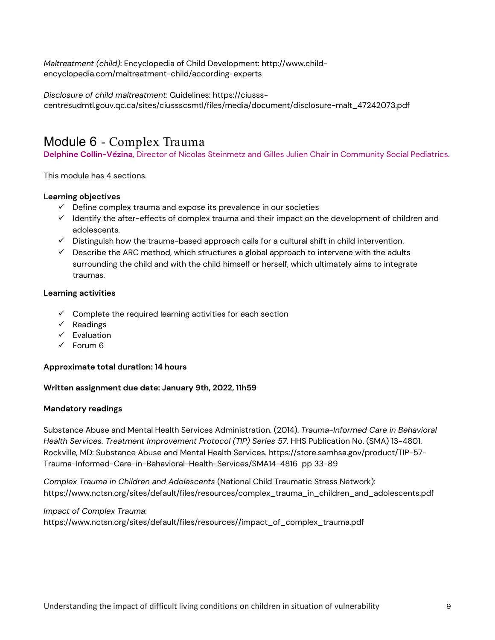*Maltreatment (child)*: Encyclopedia of Child Development: http://www.childencyclopedia.com/maltreatment-child/according-experts

*Disclosure of child maltreatment*: Guidelines: https://ciussscentresudmtl.gouv.qc.ca/sites/ciussscsmtl/files/media/document/disclosure-malt\_47242073.pdf

### <span id="page-8-0"></span>Module 6 - Complex Trauma

**Delphine Collin-Vézina**, Director of Nicolas Steinmetz and Gilles Julien Chair in Community Social Pediatrics.

This module has 4 sections.

#### **Learning objectives**

- $\checkmark$  Define complex trauma and expose its prevalence in our societies
- $\checkmark$  Identify the after-effects of complex trauma and their impact on the development of children and adolescents.
- $\checkmark$  Distinguish how the trauma-based approach calls for a cultural shift in child intervention.
- $\checkmark$  Describe the ARC method, which structures a global approach to intervene with the adults surrounding the child and with the child himself or herself, which ultimately aims to integrate traumas.

#### **Learning activities**

- $\checkmark$  Complete the required learning activities for each section
- $\checkmark$  Readings
- $\checkmark$  Evaluation
- $\sqrt{5}$  Forum 6

#### **Approximate total duration: 14 hours**

#### **Written assignment due date: January 9th, 2022, 11h59**

#### **Mandatory readings**

Substance Abuse and Mental Health Services Administration. (2014). *Trauma-Informed Care in Behavioral Health Services. Treatment Improvement Protocol (TIP) Series 57*. HHS Publication No. (SMA) 13-4801. Rockville, MD: Substance Abuse and Mental Health Services. https://store.samhsa.gov/product/TIP-57- Trauma-Informed-Care-in-Behavioral-Health-Services/SMA14-4816 pp 33-89

*Complex Trauma in Children and Adolescents* (National Child Traumatic Stress Network): https://www.nctsn.org/sites/default/files/resources/complex\_trauma\_in\_children\_and\_adolescents.pdf

*Impact of Complex Trauma*: https://www.nctsn.org/sites/default/files/resources//impact\_of\_complex\_trauma.pdf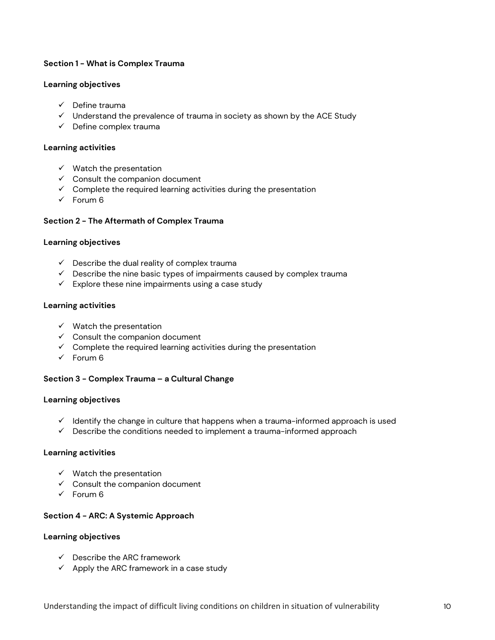#### **Section 1 - What is Complex Trauma**

#### **Learning objectives**

- $\checkmark$  Define trauma
- $\checkmark$  Understand the prevalence of trauma in society as shown by the ACE Study
- $\checkmark$  Define complex trauma

#### **Learning activities**

- $\checkmark$  Watch the presentation
- $\checkmark$  Consult the companion document
- $\checkmark$  Complete the required learning activities during the presentation
- $\checkmark$  Forum 6

#### **Section 2 - The Aftermath of Complex Trauma**

#### **Learning objectives**

- $\checkmark$  Describe the dual reality of complex trauma
- $\checkmark$  Describe the nine basic types of impairments caused by complex trauma
- $\checkmark$  Explore these nine impairments using a case study

#### **Learning activities**

- $\checkmark$  Watch the presentation
- $\checkmark$  Consult the companion document
- $\checkmark$  Complete the required learning activities during the presentation
- $\checkmark$  Forum 6

#### **Section 3 - Complex Trauma – a Cultural Change**

#### **Learning objectives**

- $\checkmark$  Identify the change in culture that happens when a trauma-informed approach is used
- $\checkmark$  Describe the conditions needed to implement a trauma-informed approach

#### **Learning activities**

- $\checkmark$  Watch the presentation
- $\checkmark$  Consult the companion document
- $\checkmark$  Forum 6

#### **Section 4 - ARC: A Systemic Approach**

#### **Learning objectives**

- $\checkmark$  Describe the ARC framework
- $\checkmark$  Apply the ARC framework in a case study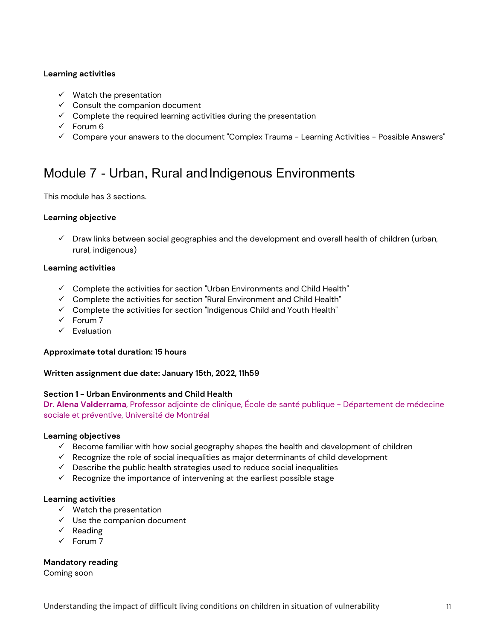#### **Learning activities**

- $\checkmark$  Watch the presentation
- $\checkmark$  Consult the companion document
- $\checkmark$  Complete the required learning activities during the presentation
- $\checkmark$  Forum 6
- $\checkmark$  Compare your answers to the document "Complex Trauma Learning Activities Possible Answers"

### <span id="page-10-0"></span>Module 7 - Urban, Rural and Indigenous Environments

This module has 3 sections.

#### **Learning objective**

 $\checkmark$  Draw links between social geographies and the development and overall health of children (urban, rural, indigenous)

#### **Learning activities**

- $\checkmark$  Complete the activities for section "Urban Environments and Child Health"
- $\checkmark$  Complete the activities for section "Rural Environment and Child Health"
- $\checkmark$  Complete the activities for section "Indigenous Child and Youth Health"
- $\checkmark$  Forum 7
- $\checkmark$  Fvaluation

#### **Approximate total duration: 15 hours**

#### **Written assignment due date: January 15th, 2022, 11h59**

#### **Section 1 - Urban Environments and Child Health**

**Dr. Alena Valderrama**, Professor adjointe de clinique, École de santé publique - Département de médecine sociale et préventive, Université de Montréal

#### **Learning objectives**

- $\checkmark$  Become familiar with how social geography shapes the health and development of children
- $\checkmark$  Recognize the role of social inequalities as major determinants of child development
- $\checkmark$  Describe the public health strategies used to reduce social inequalities
- $\checkmark$  Recognize the importance of intervening at the earliest possible stage

#### **Learning activities**

- $\checkmark$  Watch the presentation
- $\checkmark$  Use the companion document
- $\checkmark$  Reading
- $\checkmark$  Forum 7

#### **Mandatory reading**

Coming soon